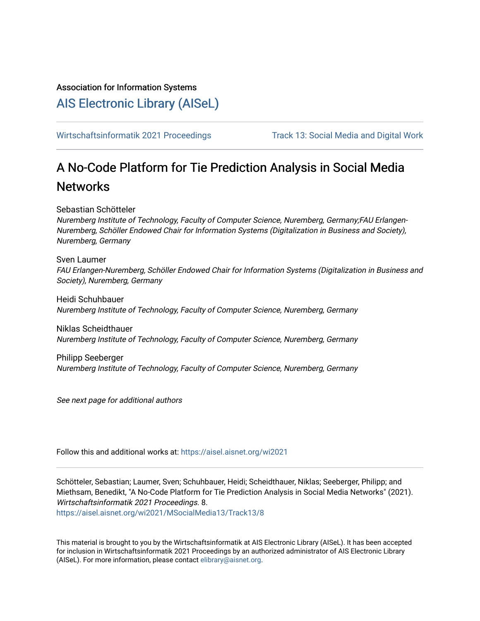Association for Information Systems

[AIS Electronic Library \(AISeL\)](https://aisel.aisnet.org/)

[Wirtschaftsinformatik 2021 Proceedings](https://aisel.aisnet.org/wi2021) Track 13: Social Media and Digital Work

# A No-Code Platform for Tie Prediction Analysis in Social Media **Networks**

Sebastian Schötteler

Nuremberg Institute of Technology, Faculty of Computer Science, Nuremberg, Germany;FAU Erlangen-Nuremberg, Schöller Endowed Chair for Information Systems (Digitalization in Business and Society), Nuremberg, Germany

Sven Laumer FAU Erlangen-Nuremberg, Schöller Endowed Chair for Information Systems (Digitalization in Business and Society), Nuremberg, Germany

Heidi Schuhbauer Nuremberg Institute of Technology, Faculty of Computer Science, Nuremberg, Germany

Niklas Scheidthauer Nuremberg Institute of Technology, Faculty of Computer Science, Nuremberg, Germany

Philipp Seeberger Nuremberg Institute of Technology, Faculty of Computer Science, Nuremberg, Germany

See next page for additional authors

Follow this and additional works at: [https://aisel.aisnet.org/wi2021](https://aisel.aisnet.org/wi2021?utm_source=aisel.aisnet.org%2Fwi2021%2FMSocialMedia13%2FTrack13%2F8&utm_medium=PDF&utm_campaign=PDFCoverPages) 

Schötteler, Sebastian; Laumer, Sven; Schuhbauer, Heidi; Scheidthauer, Niklas; Seeberger, Philipp; and Miethsam, Benedikt, "A No-Code Platform for Tie Prediction Analysis in Social Media Networks" (2021). Wirtschaftsinformatik 2021 Proceedings. 8.

[https://aisel.aisnet.org/wi2021/MSocialMedia13/Track13/8](https://aisel.aisnet.org/wi2021/MSocialMedia13/Track13/8?utm_source=aisel.aisnet.org%2Fwi2021%2FMSocialMedia13%2FTrack13%2F8&utm_medium=PDF&utm_campaign=PDFCoverPages) 

This material is brought to you by the Wirtschaftsinformatik at AIS Electronic Library (AISeL). It has been accepted for inclusion in Wirtschaftsinformatik 2021 Proceedings by an authorized administrator of AIS Electronic Library (AISeL). For more information, please contact [elibrary@aisnet.org](mailto:elibrary@aisnet.org%3E).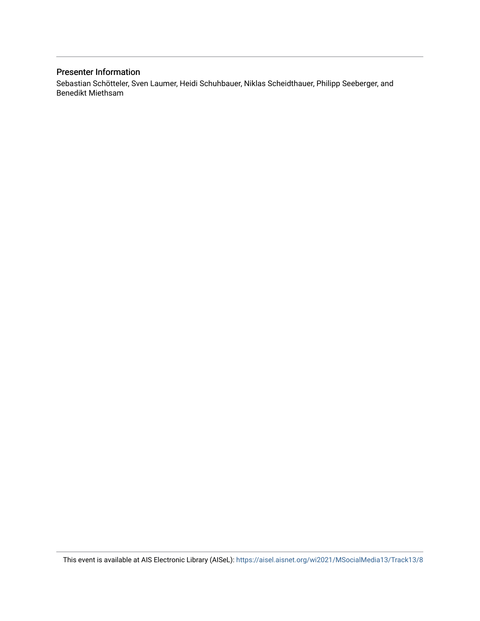# Presenter Information

Sebastian Schötteler, Sven Laumer, Heidi Schuhbauer, Niklas Scheidthauer, Philipp Seeberger, and Benedikt Miethsam

This event is available at AIS Electronic Library (AISeL):<https://aisel.aisnet.org/wi2021/MSocialMedia13/Track13/8>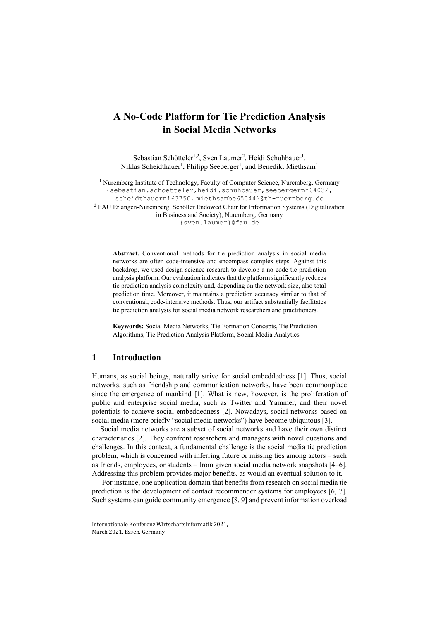# A No-Code Platform for Tie Prediction Analysis in Social Media Networks

Sebastian Schötteler<sup>1,2</sup>, Sven Laumer<sup>2</sup>, Heidi Schuhbauer<sup>1</sup>, Niklas Scheidthauer<sup>1</sup>, Philipp Seeberger<sup>1</sup>, and Benedikt Miethsam<sup>1</sup>

<sup>1</sup> Nuremberg Institute of Technology, Faculty of Computer Science, Nuremberg, Germany {sebastian.schoetteler,heidi.schuhbauer,seebergerph64032, scheidthauerni63750, miethsambe65044}@th-nuernberg.de <sup>2</sup> FAU Erlangen-Nuremberg, Schöller Endowed Chair for Information Systems (Digitalization in Business and Society), Nuremberg, Germany {sven.laumer}@fau.de

Abstract. Conventional methods for tie prediction analysis in social media networks are often code-intensive and encompass complex steps. Against this backdrop, we used design science research to develop a no-code tie prediction analysis platform. Our evaluation indicates that the platform significantly reduces tie prediction analysis complexity and, depending on the network size, also total prediction time. Moreover, it maintains a prediction accuracy similar to that of conventional, code-intensive methods. Thus, our artifact substantially facilitates tie prediction analysis for social media network researchers and practitioners.

Keywords: Social Media Networks, Tie Formation Concepts, Tie Prediction Algorithms, Tie Prediction Analysis Platform, Social Media Analytics

#### 1 Introduction

Humans, as social beings, naturally strive for social embeddedness [1]. Thus, social networks, such as friendship and communication networks, have been commonplace since the emergence of mankind [1]. What is new, however, is the proliferation of public and enterprise social media, such as Twitter and Yammer, and their novel potentials to achieve social embeddedness [2]. Nowadays, social networks based on social media (more briefly "social media networks") have become ubiquitous [3].

Social media networks are a subset of social networks and have their own distinct characteristics [2]. They confront researchers and managers with novel questions and challenges. In this context, a fundamental challenge is the social media tie prediction problem, which is concerned with inferring future or missing ties among actors – such as friends, employees, or students – from given social media network snapshots [4–6]. Addressing this problem provides major benefits, as would an eventual solution to it.

For instance, one application domain that benefits from research on social media tie prediction is the development of contact recommender systems for employees [6, 7]. Such systems can guide community emergence [8, 9] and prevent information overload

Internationale Konferenz Wirtschaftsinformatik 2021, March 2021, Essen, Germany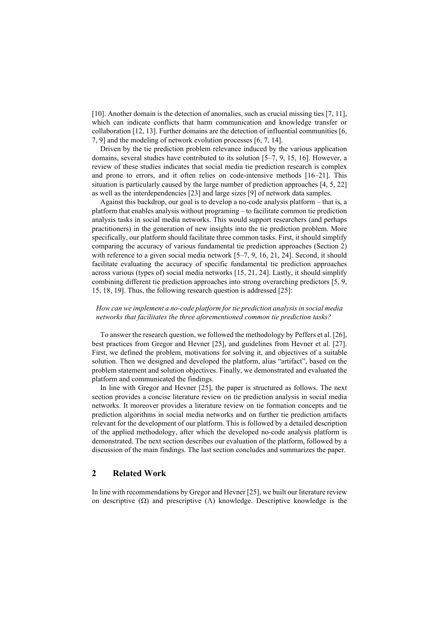[10]. Another domain is the detection of anomalies, such as crucial missing ties [7, 11], which can indicate conflicts that harm communication and knowledge transfer or collaboration [12, 13]. Further domains are the detection of influential communities [6, 7, 9] and the modeling of network evolution processes [6, 7, 14].

Driven by the tie prediction problem relevance induced by the various application domains, several studies have contributed to its solution [5–7, 9, 15, 16]. However, a review of these studies indicates that social media tie prediction research is complex and prone to errors, and it often relies on code-intensive methods [16–21]. This situation is particularly caused by the large number of prediction approaches [4, 5, 22] as well as the interdependencies [23] and large sizes [9] of network data samples.

Against this backdrop, our goal is to develop a no-code analysis platform – that is, a platform that enables analysis without programing – to facilitate common tie prediction analysis tasks in social media networks. This would support researchers (and perhaps practitioners) in the generation of new insights into the tie prediction problem. More specifically, our platform should facilitate three common tasks. First, it should simplify comparing the accuracy of various fundamental tie prediction approaches (Section 2) with reference to a given social media network [5–7, 9, 16, 21, 24]. Second, it should facilitate evaluating the accuracy of specific fundamental tie prediction approaches across various (types of) social media networks [15, 21, 24]. Lastly, it should simplify combining different tie prediction approaches into strong overarching predictors [5, 9, 15, 18, 19]. Thus, the following research question is addressed [25]:

#### *How can we implement a no-code platform for tie prediction analysis in social media networks that facilitates the three aforementioned common tie prediction tasks?*

To answer the research question, we followed the methodology by Peffers et al. [26], best practices from Gregor and Hevner [25], and guidelines from Hevner et al. [27]. First, we defined the problem, motivations for solving it, and objectives of a suitable solution. Then we designed and developed the platform, alias "artifact", based on the problem statement and solution objectives. Finally, we demonstrated and evaluated the platform and communicated the findings.

In line with Gregor and Hevner [25], the paper is structured as follows. The next section provides a concise literature review on tie prediction analysis in social media networks. It moreover provides a literature review on tie formation concepts and tie prediction algorithms in social media networks and on further tie prediction artifacts relevant for the development of our platform. This is followed by a detailed description of the applied methodology, after which the developed no-code analysis platform is demonstrated. The next section describes our evaluation of the platform, followed by a discussion of the main findings. The last section concludes and summarizes the paper.

# 2 Related Work

In line with recommendations by Gregor and Hevner [25], we built our literature review on descriptive  $(\Omega)$  and prescriptive  $(\Lambda)$  knowledge. Descriptive knowledge is the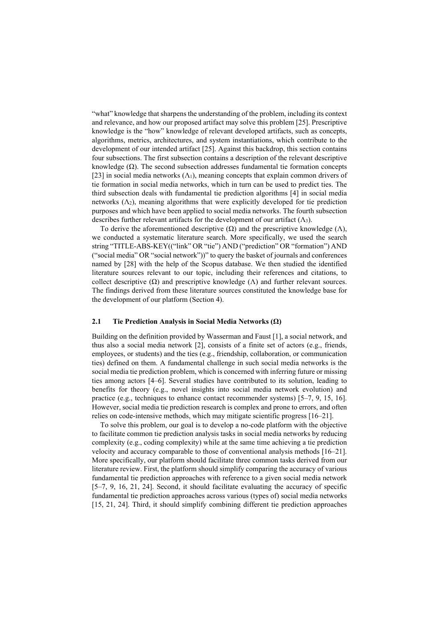"what" knowledge that sharpens the understanding of the problem, including its context and relevance, and how our proposed artifact may solve this problem [25]. Prescriptive knowledge is the "how" knowledge of relevant developed artifacts, such as concepts, algorithms, metrics, architectures, and system instantiations, which contribute to the development of our intended artifact [25]. Against this backdrop, this section contains four subsections. The first subsection contains a description of the relevant descriptive knowledge  $(\Omega)$ . The second subsection addresses fundamental tie formation concepts [23] in social media networks  $(\Lambda_1)$ , meaning concepts that explain common drivers of tie formation in social media networks, which in turn can be used to predict ties. The third subsection deals with fundamental tie prediction algorithms [4] in social media networks  $(\Lambda_2)$ , meaning algorithms that were explicitly developed for tie prediction purposes and which have been applied to social media networks. The fourth subsection describes further relevant artifacts for the development of our artifact  $(\Lambda_3)$ .

To derive the aforementioned descriptive ( $\Omega$ ) and the prescriptive knowledge ( $\Lambda$ ), we conducted a systematic literature search. More specifically, we used the search string "TITLE-ABS-KEY(("link" OR "tie") AND ("prediction" OR "formation") AND ("social media" OR "social network"))" to query the basket of journals and conferences named by [28] with the help of the Scopus database. We then studied the identified literature sources relevant to our topic, including their references and citations, to collect descriptive ( $\Omega$ ) and prescriptive knowledge ( $\Lambda$ ) and further relevant sources. The findings derived from these literature sources constituted the knowledge base for the development of our platform (Section 4).

#### 2.1 Tie Prediction Analysis in Social Media Networks (Ω)

Building on the definition provided by Wasserman and Faust [1], a social network, and thus also a social media network [2], consists of a finite set of actors (e.g., friends, employees, or students) and the ties (e.g., friendship, collaboration, or communication ties) defined on them. A fundamental challenge in such social media networks is the social media tie prediction problem, which is concerned with inferring future or missing ties among actors [4–6]. Several studies have contributed to its solution, leading to benefits for theory (e.g., novel insights into social media network evolution) and practice (e.g., techniques to enhance contact recommender systems) [5–7, 9, 15, 16]. However, social media tie prediction research is complex and prone to errors, and often relies on code-intensive methods, which may mitigate scientific progress [16–21].

To solve this problem, our goal is to develop a no-code platform with the objective to facilitate common tie prediction analysis tasks in social media networks by reducing complexity (e.g., coding complexity) while at the same time achieving a tie prediction velocity and accuracy comparable to those of conventional analysis methods [16–21]. More specifically, our platform should facilitate three common tasks derived from our literature review. First, the platform should simplify comparing the accuracy of various fundamental tie prediction approaches with reference to a given social media network [5–7, 9, 16, 21, 24]. Second, it should facilitate evaluating the accuracy of specific fundamental tie prediction approaches across various (types of) social media networks [15, 21, 24]. Third, it should simplify combining different tie prediction approaches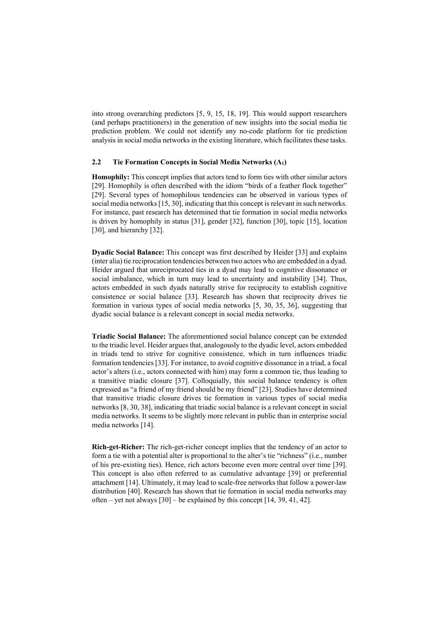into strong overarching predictors [5, 9, 15, 18, 19]. This would support researchers (and perhaps practitioners) in the generation of new insights into the social media tie prediction problem. We could not identify any no-code platform for tie prediction analysis in social media networks in the existing literature, which facilitates these tasks.

#### 2.2 Tie Formation Concepts in Social Media Networks (Λ1)

Homophily: This concept implies that actors tend to form ties with other similar actors [29]. Homophily is often described with the idiom "birds of a feather flock together" [29]. Several types of homophilous tendencies can be observed in various types of social media networks [15, 30], indicating that this concept is relevant in such networks. For instance, past research has determined that tie formation in social media networks is driven by homophily in status [31], gender [32], function [30], topic [15], location [30], and hierarchy [32].

Dyadic Social Balance: This concept was first described by Heider [33] and explains (inter alia) tie reciprocation tendencies between two actors who are embedded in a dyad. Heider argued that unreciprocated ties in a dyad may lead to cognitive dissonance or social imbalance, which in turn may lead to uncertainty and instability [34]. Thus, actors embedded in such dyads naturally strive for reciprocity to establish cognitive consistence or social balance [33]. Research has shown that reciprocity drives tie formation in various types of social media networks [5, 30, 35, 36], suggesting that dyadic social balance is a relevant concept in social media networks.

Triadic Social Balance: The aforementioned social balance concept can be extended to the triadic level. Heider argues that, analogously to the dyadic level, actors embedded in triads tend to strive for cognitive consistence, which in turn influences triadic formation tendencies [33]. For instance, to avoid cognitive dissonance in a triad, a focal actor's alters (i.e., actors connected with him) may form a common tie, thus leading to a transitive triadic closure [37]. Colloquially, this social balance tendency is often expressed as "a friend of my friend should be my friend" [23]. Studies have determined that transitive triadic closure drives tie formation in various types of social media networks [8, 30, 38], indicating that triadic social balance is a relevant concept in social media networks. It seems to be slightly more relevant in public than in enterprise social media networks [14].

Rich-get-Richer: The rich-get-richer concept implies that the tendency of an actor to form a tie with a potential alter is proportional to the alter's tie "richness" (i.e., number of his pre-existing ties). Hence, rich actors become even more central over time [39]. This concept is also often referred to as cumulative advantage [39] or preferential attachment [14]. Ultimately, it may lead to scale-free networks that follow a power-law distribution [40]. Research has shown that tie formation in social media networks may often – yet not always  $[30]$  – be explained by this concept  $[14, 39, 41, 42]$ .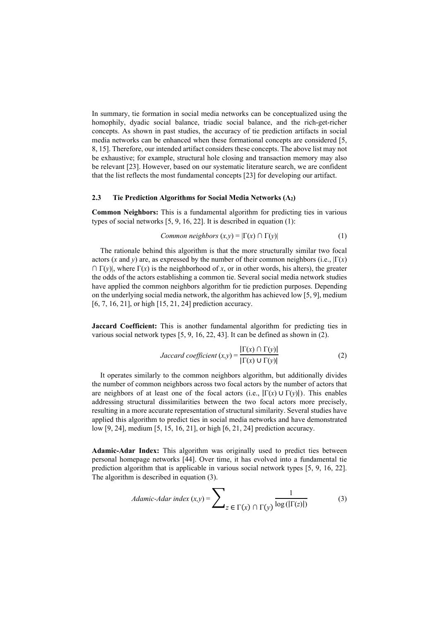In summary, tie formation in social media networks can be conceptualized using the homophily, dyadic social balance, triadic social balance, and the rich-get-richer concepts. As shown in past studies, the accuracy of tie prediction artifacts in social media networks can be enhanced when these formational concepts are considered [5, 8, 15]. Therefore, our intended artifact considers these concepts. The above list may not be exhaustive; for example, structural hole closing and transaction memory may also be relevant [23]. However, based on our systematic literature search, we are confident that the list reflects the most fundamental concepts [23] for developing our artifact.

#### 2.3 Tie Prediction Algorithms for Social Media Networks  $(\Lambda_2)$

Common Neighbors: This is a fundamental algorithm for predicting ties in various types of social networks [5, 9, 16, 22]. It is described in equation (1):

$$
Common neighbors (x,y) = |\Gamma(x) \cap \Gamma(y)| \tag{1}
$$

The rationale behind this algorithm is that the more structurally similar two focal actors (*x* and *y*) are, as expressed by the number of their common neighbors (i.e.,  $|\Gamma(x)|$  $\cap$  Γ(*y*), where Γ(*x*) is the neighborhood of *x*, or in other words, his alters), the greater the odds of the actors establishing a common tie. Several social media network studies have applied the common neighbors algorithm for tie prediction purposes. Depending on the underlying social media network, the algorithm has achieved low [5, 9], medium [6, 7, 16, 21], or high [15, 21, 24] prediction accuracy.

Jaccard Coefficient: This is another fundamental algorithm for predicting ties in various social network types [5, 9, 16, 22, 43]. It can be defined as shown in (2).

Jaccard coefficient 
$$
(x,y) = \frac{|\Gamma(x) \cap \Gamma(y)|}{|\Gamma(x) \cup \Gamma(y)|}
$$
 (2)

It operates similarly to the common neighbors algorithm, but additionally divides the number of common neighbors across two focal actors by the number of actors that are neighbors of at least one of the focal actors (i.e.,  $|\Gamma(x) \cup \Gamma(y)|$ ). This enables addressing structural dissimilarities between the two focal actors more precisely, resulting in a more accurate representation of structural similarity. Several studies have applied this algorithm to predict ties in social media networks and have demonstrated low [9, 24], medium [5, 15, 16, 21], or high [6, 21, 24] prediction accuracy.

Adamic-Adar Index: This algorithm was originally used to predict ties between personal homepage networks [44]. Over time, it has evolved into a fundamental tie prediction algorithm that is applicable in various social network types [5, 9, 16, 22]. The algorithm is described in equation (3).

$$
Adamic-Adar\ index\ (x,y) = \sum_{z \in \Gamma(x) \cap \Gamma(y)} \frac{1}{\log(|\Gamma(z)|)}\tag{3}
$$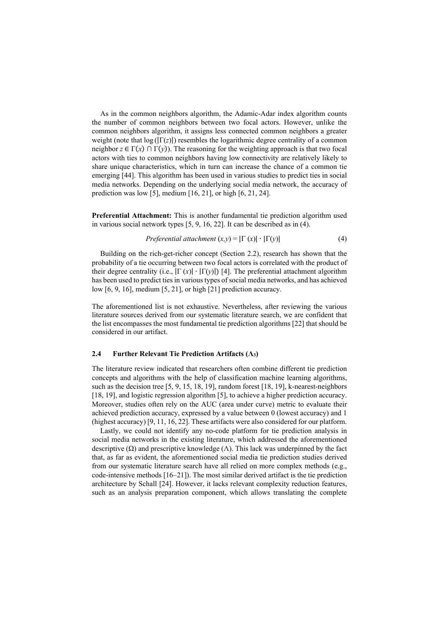As in the common neighbors algorithm, the Adamic-Adar index algorithm counts the number of common neighbors between two focal actors. However, unlike the common neighbors algorithm, it assigns less connected common neighbors a greater weight (note that log (|Γ(*z*)|) resembles the logarithmic degree centrality of a common neighbor  $z \in \Gamma(x) \cap \Gamma(y)$ ). The reasoning for the weighting approach is that two focal actors with ties to common neighbors having low connectivity are relatively likely to share unique characteristics, which in turn can increase the chance of a common tie emerging [44]. This algorithm has been used in various studies to predict ties in social media networks. Depending on the underlying social media network, the accuracy of prediction was low [5], medium [16, 21], or high [6, 21, 24].

Preferential Attachment: This is another fundamental tie prediction algorithm used in various social network types [5, 9, 16, 22]. It can be described as in (4).

$$
Preferential attachment (x,y) = |\Gamma(x)| \cdot |\Gamma(y)| \tag{4}
$$

Building on the rich-get-richer concept (Section 2.2), research has shown that the probability of a tie occurring between two focal actors is correlated with the product of their degree centrality (i.e.,  $|\Gamma(x)| \cdot |\Gamma(y)|$ ) [4]. The preferential attachment algorithm has been used to predict ties in various types of social media networks, and has achieved low [6, 9, 16], medium [5, 21], or high [21] prediction accuracy.

The aforementioned list is not exhaustive. Nevertheless, after reviewing the various literature sources derived from our systematic literature search, we are confident that the list encompasses the most fundamental tie prediction algorithms [22] that should be considered in our artifact.

#### 2.4 Further Relevant Tie Prediction Artifacts (Λ3)

The literature review indicated that researchers often combine different tie prediction concepts and algorithms with the help of classification machine learning algorithms, such as the decision tree [5, 9, 15, 18, 19], random forest [18, 19], k-nearest-neighbors [18, 19], and logistic regression algorithm [5], to achieve a higher prediction accuracy. Moreover, studies often rely on the AUC (area under curve) metric to evaluate their achieved prediction accuracy, expressed by a value between 0 (lowest accuracy) and 1 (highest accuracy) [9, 11, 16, 22]. These artifacts were also considered for our platform.

Lastly, we could not identify any no-code platform for tie prediction analysis in social media networks in the existing literature, which addressed the aforementioned descriptive  $(\Omega)$  and prescriptive knowledge  $(\Lambda)$ . This lack was underpinned by the fact that, as far as evident, the aforementioned social media tie prediction studies derived from our systematic literature search have all relied on more complex methods (e.g., code-intensive methods [16–21]). The most similar derived artifact is the tie prediction architecture by Schall [24]. However, it lacks relevant complexity reduction features, such as an analysis preparation component, which allows translating the complete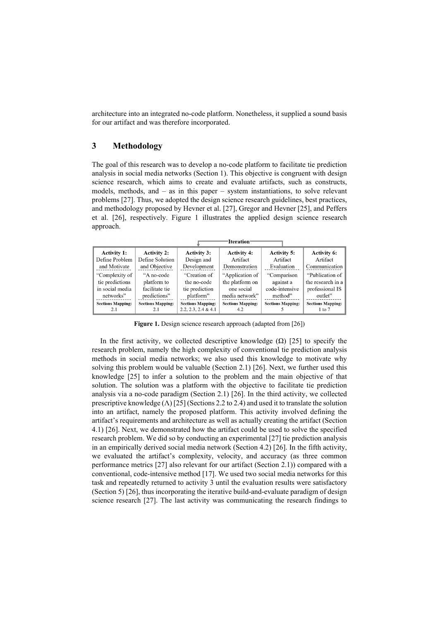architecture into an integrated no-code platform. Nonetheless, it supplied a sound basis for our artifact and was therefore incorporated.

# 3 Methodology

The goal of this research was to develop a no-code platform to facilitate tie prediction analysis in social media networks (Section 1). This objective is congruent with design science research, which aims to create and evaluate artifacts, such as constructs, models, methods, and – as in this paper – system instantiations, to solve relevant problems [27]. Thus, we adopted the design science research guidelines, best practices, and methodology proposed by Hevner et al. [27], Gregor and Hevner [25], and Peffers et al. [26], respectively. Figure 1 illustrates the applied design science research approach.

|                          | 'Iteration'              |                          |                          |                          |                          |  |  |
|--------------------------|--------------------------|--------------------------|--------------------------|--------------------------|--------------------------|--|--|
| <b>Activity 1:</b>       | <b>Activity 2:</b>       | <b>Activity 3:</b>       | <b>Activity 4:</b>       | <b>Activity 5:</b>       | <b>Activity 6:</b>       |  |  |
| Define Problem           | Define Solution          | Design and               | Artifact                 | Artifact                 | Artifact                 |  |  |
| and Motivate             | and Objective            | Development              | Demonstration            | Evaluation               | Communication            |  |  |
| "Complexity of           | "A no-code"              | "Creation of             | "Application of          | "Comparison              | "Publication of          |  |  |
| tie predictions          | platform to              | the no-code              | the platform on          | against a                | the research in a        |  |  |
| in social media          | facilitate tie           | tie prediction           | one social               | code-intensive           | professional IS          |  |  |
| networks"                | predictions"             | platform"                | media network"           | method"                  | outlet"                  |  |  |
| <b>Sections Mapping:</b> | <b>Sections Mapping:</b> | <b>Sections Mapping:</b> | <b>Sections Mapping:</b> | <b>Sections Mapping:</b> | <b>Sections Mapping:</b> |  |  |
| 2.1                      | 2.1                      | 2.2, 2.3, 2.4 & 4.1      | 4.2                      |                          | $1$ to $7$               |  |  |

Figure 1. Design science research approach (adapted from [26])

In the first activity, we collected descriptive knowledge  $(\Omega)$  [25] to specify the research problem, namely the high complexity of conventional tie prediction analysis methods in social media networks; we also used this knowledge to motivate why solving this problem would be valuable (Section 2.1) [26]. Next, we further used this knowledge [25] to infer a solution to the problem and the main objective of that solution. The solution was a platform with the objective to facilitate tie prediction analysis via a no-code paradigm (Section 2.1) [26]. In the third activity, we collected prescriptive knowledge  $(\Lambda)$  [25] (Sections 2.2 to 2.4) and used it to translate the solution into an artifact, namely the proposed platform. This activity involved defining the artifact's requirements and architecture as well as actually creating the artifact (Section 4.1) [26]. Next, we demonstrated how the artifact could be used to solve the specified research problem. We did so by conducting an experimental [27] tie prediction analysis in an empirically derived social media network (Section 4.2) [26]. In the fifth activity, we evaluated the artifact's complexity, velocity, and accuracy (as three common performance metrics [27] also relevant for our artifact (Section 2.1)) compared with a conventional, code-intensive method [17]. We used two social media networks for this task and repeatedly returned to activity 3 until the evaluation results were satisfactory (Section 5) [26], thus incorporating the iterative build-and-evaluate paradigm of design science research [27]. The last activity was communicating the research findings to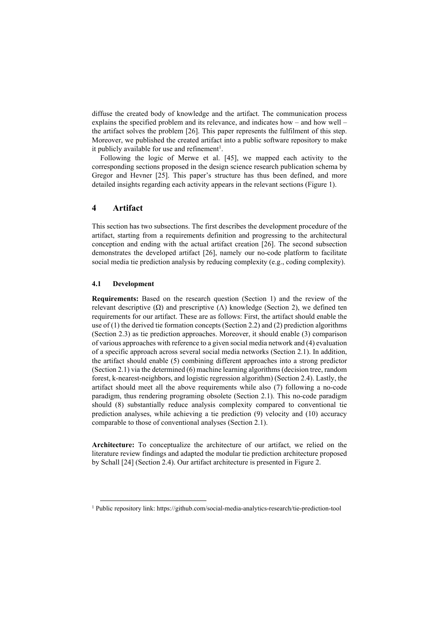diffuse the created body of knowledge and the artifact. The communication process explains the specified problem and its relevance, and indicates how – and how well – the artifact solves the problem [26]. This paper represents the fulfilment of this step. Moreover, we published the created artifact into a public software repository to make it publicly available for use and refinement<sup>1</sup>.

Following the logic of Merwe et al. [45], we mapped each activity to the corresponding sections proposed in the design science research publication schema by Gregor and Hevner [25]. This paper's structure has thus been defined, and more detailed insights regarding each activity appears in the relevant sections (Figure 1).

# 4 Artifact

This section has two subsections. The first describes the development procedure of the artifact, starting from a requirements definition and progressing to the architectural conception and ending with the actual artifact creation [26]. The second subsection demonstrates the developed artifact [26], namely our no-code platform to facilitate social media tie prediction analysis by reducing complexity (e.g., coding complexity).

#### 4.1 Development

Requirements: Based on the research question (Section 1) and the review of the relevant descriptive  $(\Omega)$  and prescriptive  $(\Lambda)$  knowledge (Section 2), we defined ten requirements for our artifact. These are as follows: First, the artifact should enable the use of  $(1)$  the derived tie formation concepts (Section 2.2) and  $(2)$  prediction algorithms (Section 2.3) as tie prediction approaches. Moreover, it should enable (3) comparison of various approaches with reference to a given social media network and (4) evaluation of a specific approach across several social media networks (Section 2.1). In addition, the artifact should enable (5) combining different approaches into a strong predictor (Section 2.1) via the determined (6) machine learning algorithms(decision tree, random forest, k-nearest-neighbors, and logistic regression algorithm) (Section 2.4). Lastly, the artifact should meet all the above requirements while also (7) following a no-code paradigm, thus rendering programing obsolete (Section 2.1). This no-code paradigm should (8) substantially reduce analysis complexity compared to conventional tie prediction analyses, while achieving a tie prediction (9) velocity and (10) accuracy comparable to those of conventional analyses (Section 2.1).

Architecture: To conceptualize the architecture of our artifact, we relied on the literature review findings and adapted the modular tie prediction architecture proposed by Schall [24] (Section 2.4). Our artifact architecture is presented in Figure 2.

<sup>1</sup> Public repository link: https://github.com/social-media-analytics-research/tie-prediction-tool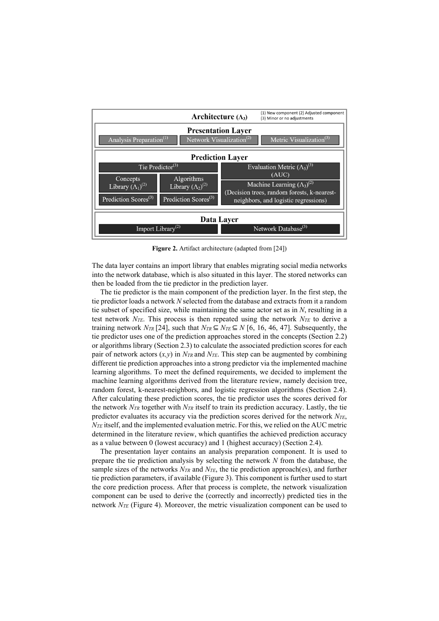

Figure 2. Artifact architecture (adapted from [24])

The data layer contains an import library that enables migrating social media networks into the network database, which is also situated in this layer. The stored networks can then be loaded from the tie predictor in the prediction layer.

The tie predictor is the main component of the prediction layer. In the first step, the tie predictor loads a network *N* selected from the database and extracts from it a random tie subset of specified size, while maintaining the same actor set as in *N*, resulting in a test network *NTE*. This process is then repeated using the network *NTE* to derive a training network *N<sub>TR</sub>* [24], such that  $N_{TR} \subseteq N_{TE} \subseteq N$  [6, 16, 46, 47]. Subsequently, the tie predictor uses one of the prediction approaches stored in the concepts (Section 2.2) or algorithms library (Section 2.3) to calculate the associated prediction scores for each pair of network actors  $(x, y)$  in  $N_{TR}$  and  $N_{TE}$ . This step can be augmented by combining different tie prediction approaches into a strong predictor via the implemented machine learning algorithms. To meet the defined requirements, we decided to implement the machine learning algorithms derived from the literature review, namely decision tree, random forest, k-nearest-neighbors, and logistic regression algorithms (Section 2.4). After calculating these prediction scores, the tie predictor uses the scores derived for the network  $N_{TR}$  together with  $N_{TR}$  itself to train its prediction accuracy. Lastly, the tie predictor evaluates its accuracy via the prediction scores derived for the network *NTE*, *N<sub>TE</sub>* itself, and the implemented evaluation metric. For this, we relied on the AUC metric determined in the literature review, which quantifies the achieved prediction accuracy as a value between 0 (lowest accuracy) and 1 (highest accuracy) (Section 2.4).

The presentation layer contains an analysis preparation component. It is used to prepare the tie prediction analysis by selecting the network *N* from the database, the sample sizes of the networks  $N_{TR}$  and  $N_{TE}$ , the tie prediction approach(es), and further tie prediction parameters, if available (Figure 3). This component is further used to start the core prediction process. After that process is complete, the network visualization component can be used to derive the (correctly and incorrectly) predicted ties in the network  $N_{TE}$  (Figure 4). Moreover, the metric visualization component can be used to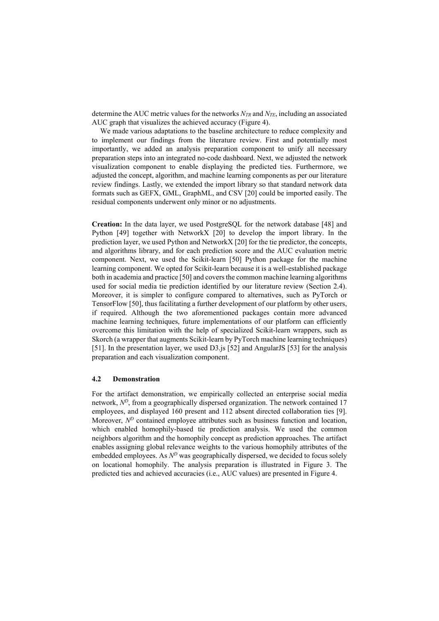determine the AUC metric values for the networks  $N_{TR}$  and  $N_{TE}$ , including an associated AUC graph that visualizes the achieved accuracy (Figure 4).

We made various adaptations to the baseline architecture to reduce complexity and to implement our findings from the literature review. First and potentially most importantly, we added an analysis preparation component to unify all necessary preparation steps into an integrated no-code dashboard. Next, we adjusted the network visualization component to enable displaying the predicted ties. Furthermore, we adjusted the concept, algorithm, and machine learning components as per our literature review findings. Lastly, we extended the import library so that standard network data formats such as GEFX, GML, GraphML, and CSV [20] could be imported easily. The residual components underwent only minor or no adjustments.

Creation: In the data layer, we used PostgreSQL for the network database [48] and Python [49] together with NetworkX [20] to develop the import library. In the prediction layer, we used Python and NetworkX [20] for the tie predictor, the concepts, and algorithms library, and for each prediction score and the AUC evaluation metric component. Next, we used the Scikit-learn [50] Python package for the machine learning component. We opted for Scikit-learn because it is a well-established package both in academia and practice [50] and covers the common machine learning algorithms used for social media tie prediction identified by our literature review (Section 2.4). Moreover, it is simpler to configure compared to alternatives, such as PyTorch or TensorFlow [50], thus facilitating a further development of our platform by other users, if required. Although the two aforementioned packages contain more advanced machine learning techniques, future implementations of our platform can efficiently overcome this limitation with the help of specialized Scikit-learn wrappers, such as Skorch (a wrapper that augments Scikit-learn by PyTorch machine learning techniques) [51]. In the presentation layer, we used D3.js [52] and AngularJS [53] for the analysis preparation and each visualization component.

#### 4.2 Demonstration

For the artifact demonstration, we empirically collected an enterprise social media network,  $N^D$ , from a geographically dispersed organization. The network contained 17 employees, and displayed 160 present and 112 absent directed collaboration ties [9]. Moreover,  $N^D$  contained employee attributes such as business function and location, which enabled homophily-based tie prediction analysis. We used the common neighbors algorithm and the homophily concept as prediction approaches. The artifact enables assigning global relevance weights to the various homophily attributes of the embedded employees. As  $N^D$  was geographically dispersed, we decided to focus solely on locational homophily. The analysis preparation is illustrated in Figure 3. The predicted ties and achieved accuracies (i.e., AUC values) are presented in Figure 4.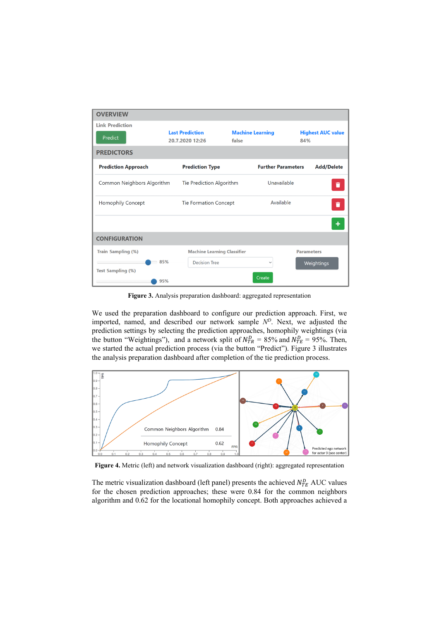| <b>OVERVIEW</b>            |                                           |                                  |                                 |
|----------------------------|-------------------------------------------|----------------------------------|---------------------------------|
| <b>Link Prediction</b>     |                                           |                                  |                                 |
| Predict                    | <b>Last Prediction</b><br>20.7.2020 12:26 | <b>Machine Learning</b><br>false | <b>Highest AUC value</b><br>84% |
| <b>PREDICTORS</b>          |                                           |                                  |                                 |
| <b>Prediction Approach</b> | <b>Prediction Type</b>                    | <b>Further Parameters</b>        | <b>Add/Delete</b>               |
| Common Neighbors Algorithm | Tie Prediction Algorithm                  | Unavailable                      | П                               |
| Homophily Concept          | <b>Tie Formation Concept</b>              | Available                        | î                               |
|                            |                                           |                                  |                                 |
| <b>CONFIGURATION</b>       |                                           |                                  |                                 |
| <b>Train Sampling (%)</b>  | <b>Machine Learning Classifier</b>        |                                  | <b>Parameters</b>               |
| 85%                        | <b>Decision Tree</b>                      | $\checkmark$                     | Weightings                      |
| <b>Test Sampling (%)</b>   |                                           | Create                           |                                 |
| 95%                        |                                           |                                  |                                 |

Figure 3. Analysis preparation dashboard: aggregated representation

We used the preparation dashboard to configure our prediction approach. First, we imported, named, and described our network sample  $N<sup>D</sup>$ . Next, we adjusted the prediction settings by selecting the prediction approaches, homophily weightings (via the button "Weightings"), and a network split of  $N_{TR}^D = 85\%$  and  $N_{TE}^D = 95\%$ . Then, we started the actual prediction process (via the button "Predict"). Figure 3 illustrates the analysis preparation dashboard after completion of the tie prediction process.



Figure 4. Metric (left) and network visualization dashboard (right): aggregated representation

The metric visualization dashboard (left panel) presents the achieved  $N_{TE}^D$  AUC values for the chosen prediction approaches; these were 0.84 for the common neighbors algorithm and 0.62 for the locational homophily concept. Both approaches achieved a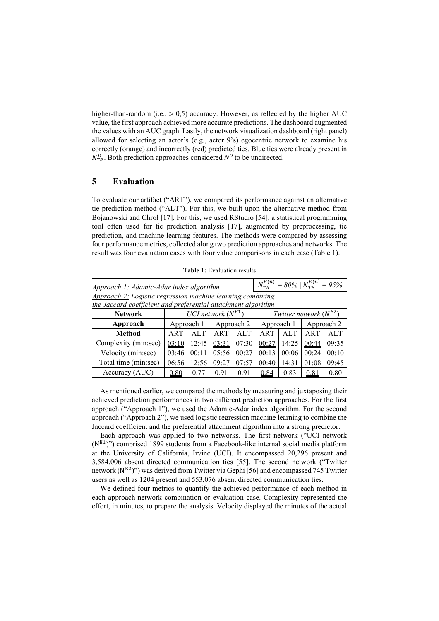higher-than-random (i.e.,  $> 0.5$ ) accuracy. However, as reflected by the higher AUC value, the first approach achieved more accurate predictions. The dashboard augmented the values with an AUC graph. Lastly, the network visualization dashboard (right panel) allowed for selecting an actor's (e.g., actor 9's) egocentric network to examine his correctly (orange) and incorrectly (red) predicted ties. Blue ties were already present in  $N_{TR}^D$ . Both prediction approaches considered  $N^D$  to be undirected.

# 5 Evaluation

To evaluate our artifact ("ART"), we compared its performance against an alternative tie prediction method ("ALT"). For this, we built upon the alternative method from Bojanowski and Chroł [17]. For this, we used RStudio [54], a statistical programming tool often used for tie prediction analysis [17], augmented by preprocessing, tie prediction, and machine learning features. The methods were compared by assessing four performance metrics, collected along two prediction approaches and networks. The result was four evaluation cases with four value comparisons in each case (Table 1).

| Approach 1: Adamic-Adar index algorithm                                                                                     |                        |       |            |                            | $N_{TR}^{E(n)} = 80\% \mid N_{TF}^{E(n)} = 95\%$ |       |            |            |  |  |
|-----------------------------------------------------------------------------------------------------------------------------|------------------------|-------|------------|----------------------------|--------------------------------------------------|-------|------------|------------|--|--|
| Approach 2: Logistic regression machine learning combining<br>the Jaccard coefficient and preferential attachment algorithm |                        |       |            |                            |                                                  |       |            |            |  |  |
| <b>Network</b>                                                                                                              | UCI network $(N^{E1})$ |       |            | Twitter network $(N^{E2})$ |                                                  |       |            |            |  |  |
| Approach                                                                                                                    | Approach 1             |       | Approach 2 |                            | Approach 1                                       |       | Approach 2 |            |  |  |
| <b>Method</b>                                                                                                               | ART                    | ATT   | ART        | ALT                        | ART                                              | ALT   | ART        | <b>ALT</b> |  |  |
| Complexity (min:sec)                                                                                                        | 03:10                  | 12:45 | 03:31      | 07:30                      | 00:27                                            | 14:25 | 00:44      | 09:35      |  |  |
| Velocity (min:sec)                                                                                                          | 03:46                  | 00:11 | 05:56      | 00:27                      | 00:13                                            | 00:06 | 00:24      | 00:10      |  |  |
| Total time (min:sec)                                                                                                        | 06:56                  | 12:56 | 09:27      | 07:57                      | 00:40                                            | 14:31 | 01:08      | 09:45      |  |  |
| Accuracy (AUC)                                                                                                              | 0.80                   | 0.77  | 0.91       | 0.91                       | 0.84                                             | 0.83  | 0.81       | 0.80       |  |  |

Table 1: Evaluation results

As mentioned earlier, we compared the methods by measuring and juxtaposing their achieved prediction performances in two different prediction approaches. For the first approach ("Approach 1"), we used the Adamic-Adar index algorithm. For the second approach ("Approach 2"), we used logistic regression machine learning to combine the Jaccard coefficient and the preferential attachment algorithm into a strong predictor.

Each approach was applied to two networks. The first network ("UCI network  $(N<sup>E1</sup>)$ ") comprised 1899 students from a Facebook-like internal social media platform at the University of California, Irvine (UCI). It encompassed 20,296 present and 3,584,006 absent directed communication ties [55]. The second network ("Twitter network ( $N^{E2}$ )") was derived from Twitter via Gephi [56] and encompassed 745 Twitter users as well as 1204 present and 553,076 absent directed communication ties.

We defined four metrics to quantify the achieved performance of each method in each approach-network combination or evaluation case. Complexity represented the effort, in minutes, to prepare the analysis. Velocity displayed the minutes of the actual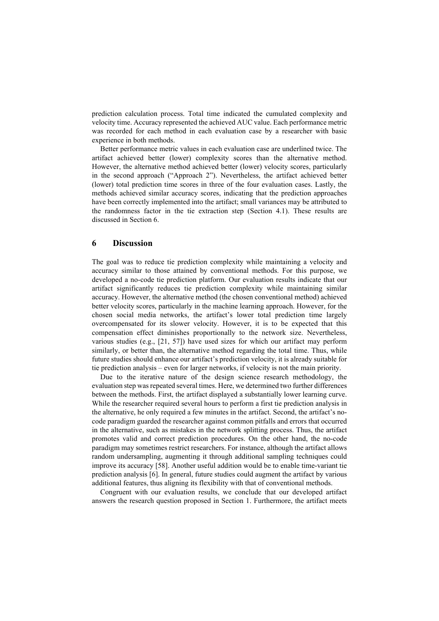prediction calculation process. Total time indicated the cumulated complexity and velocity time. Accuracy represented the achieved AUC value. Each performance metric was recorded for each method in each evaluation case by a researcher with basic experience in both methods.

Better performance metric values in each evaluation case are underlined twice. The artifact achieved better (lower) complexity scores than the alternative method. However, the alternative method achieved better (lower) velocity scores, particularly in the second approach ("Approach 2"). Nevertheless, the artifact achieved better (lower) total prediction time scores in three of the four evaluation cases. Lastly, the methods achieved similar accuracy scores, indicating that the prediction approaches have been correctly implemented into the artifact; small variances may be attributed to the randomness factor in the tie extraction step (Section 4.1). These results are discussed in Section 6.

### 6 Discussion

The goal was to reduce tie prediction complexity while maintaining a velocity and accuracy similar to those attained by conventional methods. For this purpose, we developed a no-code tie prediction platform. Our evaluation results indicate that our artifact significantly reduces tie prediction complexity while maintaining similar accuracy. However, the alternative method (the chosen conventional method) achieved better velocity scores, particularly in the machine learning approach. However, for the chosen social media networks, the artifact's lower total prediction time largely overcompensated for its slower velocity. However, it is to be expected that this compensation effect diminishes proportionally to the network size. Nevertheless, various studies (e.g., [21, 57]) have used sizes for which our artifact may perform similarly, or better than, the alternative method regarding the total time. Thus, while future studies should enhance our artifact's prediction velocity, it is already suitable for tie prediction analysis – even for larger networks, if velocity is not the main priority.

Due to the iterative nature of the design science research methodology, the evaluation step was repeated several times. Here, we determined two further differences between the methods. First, the artifact displayed a substantially lower learning curve. While the researcher required several hours to perform a first tie prediction analysis in the alternative, he only required a few minutes in the artifact. Second, the artifact's nocode paradigm guarded the researcher against common pitfalls and errors that occurred in the alternative, such as mistakes in the network splitting process. Thus, the artifact promotes valid and correct prediction procedures. On the other hand, the no-code paradigm may sometimes restrict researchers. For instance, although the artifact allows random undersampling, augmenting it through additional sampling techniques could improve its accuracy [58]. Another useful addition would be to enable time-variant tie prediction analysis [6]. In general, future studies could augment the artifact by various additional features, thus aligning its flexibility with that of conventional methods.

Congruent with our evaluation results, we conclude that our developed artifact answers the research question proposed in Section 1. Furthermore, the artifact meets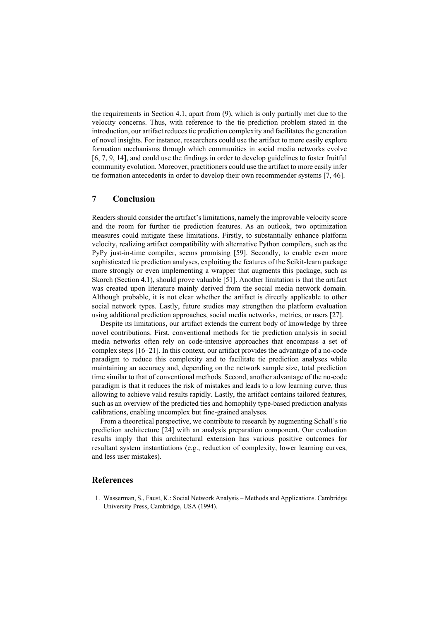the requirements in Section 4.1, apart from (9), which is only partially met due to the velocity concerns. Thus, with reference to the tie prediction problem stated in the introduction, our artifact reduces tie prediction complexity and facilitates the generation of novel insights. For instance, researchers could use the artifact to more easily explore formation mechanisms through which communities in social media networks evolve [6, 7, 9, 14], and could use the findings in order to develop guidelines to foster fruitful community evolution. Moreover, practitioners could use the artifact to more easily infer tie formation antecedents in order to develop their own recommender systems [7, 46].

# 7 Conclusion

Readers should consider the artifact's limitations, namely the improvable velocity score and the room for further tie prediction features. As an outlook, two optimization measures could mitigate these limitations. Firstly, to substantially enhance platform velocity, realizing artifact compatibility with alternative Python compilers, such as the PyPy just-in-time compiler, seems promising [59]. Secondly, to enable even more sophisticated tie prediction analyses, exploiting the features of the Scikit-learn package more strongly or even implementing a wrapper that augments this package, such as Skorch (Section 4.1), should prove valuable [51]. Another limitation is that the artifact was created upon literature mainly derived from the social media network domain. Although probable, it is not clear whether the artifact is directly applicable to other social network types. Lastly, future studies may strengthen the platform evaluation using additional prediction approaches, social media networks, metrics, or users [27].

Despite its limitations, our artifact extends the current body of knowledge by three novel contributions. First, conventional methods for tie prediction analysis in social media networks often rely on code-intensive approaches that encompass a set of complex steps [16–21]. In this context, our artifact provides the advantage of a no-code paradigm to reduce this complexity and to facilitate tie prediction analyses while maintaining an accuracy and, depending on the network sample size, total prediction time similar to that of conventional methods. Second, another advantage of the no-code paradigm is that it reduces the risk of mistakes and leads to a low learning curve, thus allowing to achieve valid results rapidly. Lastly, the artifact contains tailored features, such as an overview of the predicted ties and homophily type-based prediction analysis calibrations, enabling uncomplex but fine-grained analyses.

From a theoretical perspective, we contribute to research by augmenting Schall's tie prediction architecture [24] with an analysis preparation component. Our evaluation results imply that this architectural extension has various positive outcomes for resultant system instantiations (e.g., reduction of complexity, lower learning curves, and less user mistakes).

#### References

1. Wasserman, S., Faust, K.: Social Network Analysis – Methods and Applications. Cambridge University Press, Cambridge, USA (1994).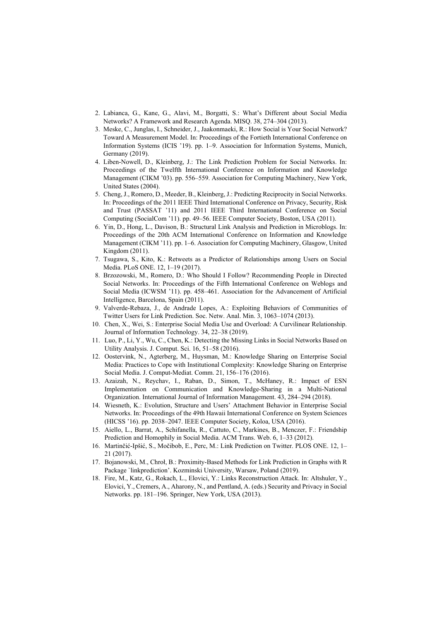- 2. Labianca, G., Kane, G., Alavi, M., Borgatti, S.: What's Different about Social Media Networks? A Framework and Research Agenda. MISQ. 38, 274–304 (2013).
- 3. Meske, C., Junglas, I., Schneider, J., Jaakonmaeki, R.: How Social is Your Social Network? Toward A Measurement Model. In: Proceedings of the Fortieth International Conference on Information Systems (ICIS '19). pp. 1–9. Association for Information Systems, Munich, Germany (2019).
- 4. Liben-Nowell, D., Kleinberg, J.: The Link Prediction Problem for Social Networks. In: Proceedings of the Twelfth International Conference on Information and Knowledge Management (CIKM '03). pp. 556–559. Association for Computing Machinery, New York, United States (2004).
- 5. Cheng, J., Romero, D., Meeder, B., Kleinberg, J.: Predicting Reciprocity in Social Networks. In: Proceedings of the 2011 IEEE Third International Conference on Privacy, Security, Risk and Trust (PASSAT '11) and 2011 IEEE Third International Conference on Social Computing (SocialCom '11). pp. 49–56. IEEE Computer Society, Boston, USA (2011).
- 6. Yin, D., Hong, L., Davison, B.: Structural Link Analysis and Prediction in Microblogs. In: Proceedings of the 20th ACM International Conference on Information and Knowledge Management (CIKM '11). pp. 1–6. Association for Computing Machinery, Glasgow, United Kingdom (2011).
- 7. Tsugawa, S., Kito, K.: Retweets as a Predictor of Relationships among Users on Social Media. PLoS ONE. 12, 1–19 (2017).
- 8. Brzozowski, M., Romero, D.: Who Should I Follow? Recommending People in Directed Social Networks. In: Proceedings of the Fifth International Conference on Weblogs and Social Media (ICWSM '11). pp. 458–461. Association for the Advancement of Artificial Intelligence, Barcelona, Spain (2011).
- 9. Valverde-Rebaza, J., de Andrade Lopes, A.: Exploiting Behaviors of Communities of Twitter Users for Link Prediction. Soc. Netw. Anal. Min. 3, 1063–1074 (2013).
- 10. Chen, X., Wei, S.: Enterprise Social Media Use and Overload: A Curvilinear Relationship. Journal of Information Technology. 34, 22–38 (2019).
- 11. Luo, P., Li, Y., Wu, C., Chen, K.: Detecting the Missing Links in Social Networks Based on Utility Analysis. J. Comput. Sci. 16, 51–58 (2016).
- 12. Oostervink, N., Agterberg, M., Huysman, M.: Knowledge Sharing on Enterprise Social Media: Practices to Cope with Institutional Complexity: Knowledge Sharing on Enterprise Social Media. J. Comput-Mediat. Comm. 21, 156–176 (2016).
- 13. Azaizah, N., Reychav, I., Raban, D., Simon, T., McHaney, R.: Impact of ESN Implementation on Communication and Knowledge-Sharing in a Multi-National Organization. International Journal of Information Management. 43, 284–294 (2018).
- 14. Wiesneth, K.: Evolution, Structure and Users' Attachment Behavior in Enterprise Social Networks. In: Proceedings of the 49th Hawaii International Conference on System Sciences (HICSS '16). pp. 2038–2047. IEEE Computer Society, Koloa, USA (2016).
- 15. Aiello, L., Barrat, A., Schifanella, R., Cattuto, C., Markines, B., Menczer, F.: Friendship Prediction and Homophily in Social Media. ACM Trans. Web. 6, 1–33 (2012).
- 16. Martinčić-Ipšić, S., Močibob, E., Perc, M.: Link Prediction on Twitter. PLOS ONE. 12, 1– 21 (2017).
- 17. Bojanowski, M., Chroł, B.: Proximity-Based Methods for Link Prediction in Graphs with R Package `linkprediction'. Kozminski University, Warsaw, Poland (2019).
- 18. Fire, M., Katz, G., Rokach, L., Elovici, Y.: Links Reconstruction Attack. In: Altshuler, Y., Elovici, Y., Cremers, A., Aharony, N., and Pentland, A. (eds.) Security and Privacy in Social Networks. pp. 181–196. Springer, New York, USA (2013).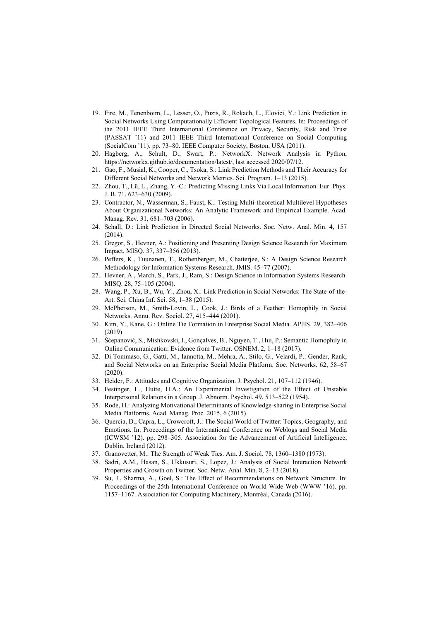- 19. Fire, M., Tenenboim, L., Lesser, O., Puzis, R., Rokach, L., Elovici, Y.: Link Prediction in Social Networks Using Computationally Efficient Topological Features. In: Proceedings of the 2011 IEEE Third International Conference on Privacy, Security, Risk and Trust (PASSAT '11) and 2011 IEEE Third International Conference on Social Computing (SocialCom '11). pp. 73–80. IEEE Computer Society, Boston, USA (2011).
- 20. Hagberg, A., Schult, D., Swart, P.: NetworkX: Network Analysis in Python, https://networkx.github.io/documentation/latest/, last accessed 2020/07/12.
- 21. Gao, F., Musial, K., Cooper, C., Tsoka, S.: Link Prediction Methods and Their Accuracy for Different Social Networks and Network Metrics. Sci. Program. 1–13 (2015).
- 22. Zhou, T., Lü, L., Zhang, Y.-C.: Predicting Missing Links Via Local Information. Eur. Phys. J. B. 71, 623–630 (2009).
- 23. Contractor, N., Wasserman, S., Faust, K.: Testing Multi-theoretical Multilevel Hypotheses About Organizational Networks: An Analytic Framework and Empirical Example. Acad. Manag. Rev. 31, 681–703 (2006).
- 24. Schall, D.: Link Prediction in Directed Social Networks. Soc. Netw. Anal. Min. 4, 157 (2014).
- 25. Gregor, S., Hevner, A.: Positioning and Presenting Design Science Research for Maximum Impact. MISQ. 37, 337–356 (2013).
- 26. Peffers, K., Tuunanen, T., Rothenberger, M., Chatterjee, S.: A Design Science Research Methodology for Information Systems Research. JMIS. 45–77 (2007).
- 27. Hevner, A., March, S., Park, J., Ram, S.: Design Science in Information Systems Research. MISQ. 28, 75–105 (2004).
- 28. Wang, P., Xu, B., Wu, Y., Zhou, X.: Link Prediction in Social Networks: The State-of-the-Art. Sci. China Inf. Sci. 58, 1–38 (2015).
- 29. McPherson, M., Smith-Lovin, L., Cook, J.: Birds of a Feather: Homophily in Social Networks. Annu. Rev. Sociol. 27, 415–444 (2001).
- 30. Kim, Y., Kane, G.: Online Tie Formation in Enterprise Social Media. APJIS. 29, 382–406 (2019).
- 31. Šćepanović, S., Mishkovski, I., Gonçalves, B., Nguyen, T., Hui, P.: Semantic Homophily in Online Communication: Evidence from Twitter. OSNEM. 2, 1–18 (2017).
- 32. Di Tommaso, G., Gatti, M., Iannotta, M., Mehra, A., Stilo, G., Velardi, P.: Gender, Rank, and Social Networks on an Enterprise Social Media Platform. Soc. Networks. 62, 58–67 (2020).
- 33. Heider, F.: Attitudes and Cognitive Organization. J. Psychol. 21, 107–112 (1946).
- 34. Festinger, L., Hutte, H.A.: An Experimental Investigation of the Effect of Unstable Interpersonal Relations in a Group. J. Abnorm. Psychol. 49, 513–522 (1954).
- 35. Rode, H.: Analyzing Motivational Determinants of Knowledge-sharing in Enterprise Social Media Platforms. Acad. Manag. Proc. 2015, 6 (2015).
- 36. Quercia, D., Capra, L., Crowcroft, J.: The Social World of Twitter: Topics, Geography, and Emotions. In: Proceedings of the International Conference on Weblogs and Social Media (ICWSM '12). pp. 298–305. Association for the Advancement of Artificial Intelligence, Dublin, Ireland (2012).
- 37. Granovetter, M.: The Strength of Weak Ties. Am. J. Sociol. 78, 1360–1380 (1973).
- 38. Sadri, A.M., Hasan, S., Ukkusuri, S., Lopez, J.: Analysis of Social Interaction Network Properties and Growth on Twitter. Soc. Netw. Anal. Min. 8, 2–13 (2018).
- 39. Su, J., Sharma, A., Goel, S.: The Effect of Recommendations on Network Structure. In: Proceedings of the 25th International Conference on World Wide Web (WWW '16). pp. 1157–1167. Association for Computing Machinery, Montréal, Canada (2016).